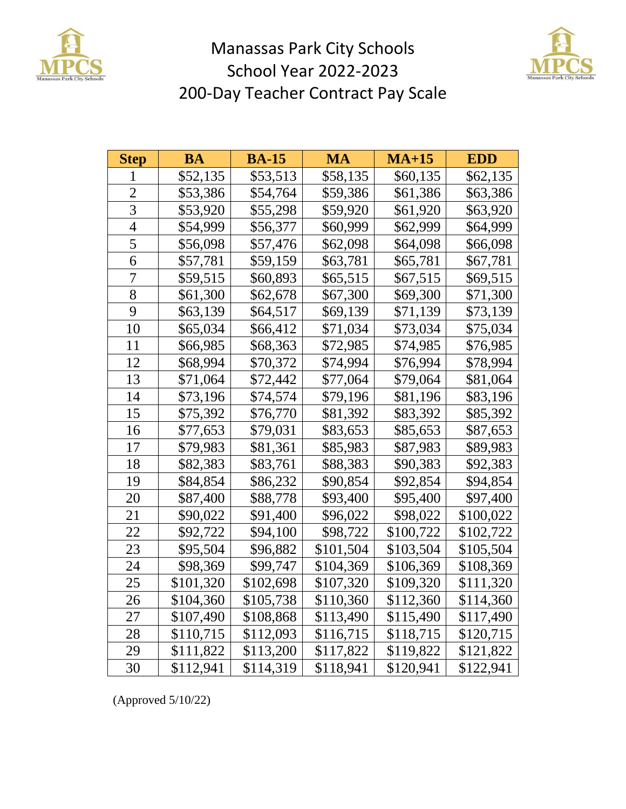

## Manassas Park City Schools School Year 2022-2023 200-Day Teacher Contract Pay Scale



| <b>Step</b> | BA        | <b>BA-15</b> | MA        | $MA+15$   | <b>EDD</b> |
|-------------|-----------|--------------|-----------|-----------|------------|
| 1           | \$52,135  | \$53,513     | \$58,135  | \$60,135  | \$62,135   |
| 2           | \$53,386  | \$54,764     | \$59,386  | \$61,386  | \$63,386   |
| 3           | \$53,920  | \$55,298     | \$59,920  | \$61,920  | \$63,920   |
| 4           | \$54,999  | \$56,377     | \$60,999  | \$62,999  | \$64,999   |
| 5           | \$56,098  | \$57,476     | \$62,098  | \$64,098  | \$66,098   |
| 6           | \$57,781  | \$59,159     | \$63,781  | \$65,781  | \$67,781   |
| 7           | \$59,515  | \$60,893     | \$65,515  | \$67,515  | \$69,515   |
| 8           | \$61,300  | \$62,678     | \$67,300  | \$69,300  | \$71,300   |
| 9           | \$63,139  | \$64,517     | \$69,139  | \$71,139  | \$73,139   |
| 10          | \$65,034  | \$66,412     | \$71,034  | \$73,034  | \$75,034   |
| 11          | \$66,985  | \$68,363     | \$72,985  | \$74,985  | \$76,985   |
| 12          | \$68,994  | \$70,372     | \$74,994  | \$76,994  | \$78,994   |
| 13          | \$71,064  | \$72,442     | \$77,064  | \$79,064  | \$81,064   |
| 14          | \$73,196  | \$74,574     | \$79,196  | \$81,196  | \$83,196   |
| 15          | \$75,392  | \$76,770     | \$81,392  | \$83,392  | \$85,392   |
| 16          | \$77,653  | \$79,031     | \$83,653  | \$85,653  | \$87,653   |
| 17          | \$79,983  | \$81,361     | \$85,983  | \$87,983  | \$89,983   |
| 18          | \$82,383  | \$83,761     | \$88,383  | \$90,383  | \$92,383   |
| 19          | \$84,854  | \$86,232     | \$90,854  | \$92,854  | \$94,854   |
| 20          | \$87,400  | \$88,778     | \$93,400  | \$95,400  | \$97,400   |
| 21          | \$90,022  | \$91,400     | \$96,022  | \$98,022  | \$100,022  |
| 22          | \$92,722  | \$94,100     | \$98,722  | \$100,722 | \$102,722  |
| 23          | \$95,504  | \$96,882     | \$101,504 | \$103,504 | \$105,504  |
| 24          | \$98,369  | \$99,747     | \$104,369 | \$106,369 | \$108,369  |
| 25          | \$101,320 | \$102,698    | \$107,320 | \$109,320 | \$111,320  |
| 26          | \$104,360 | \$105,738    | \$110,360 | \$112,360 | \$114,360  |
| 27          | \$107,490 | \$108,868    | \$113,490 | \$115,490 | \$117,490  |
| 28          | \$110,715 | \$112,093    | \$116,715 | \$118,715 | \$120,715  |
| 29          | \$111,822 | \$113,200    | \$117,822 | \$119,822 | \$121,822  |
| 30          | \$112,941 | \$114,319    | \$118,941 | \$120,941 | \$122,941  |

(Approved 5/10/22)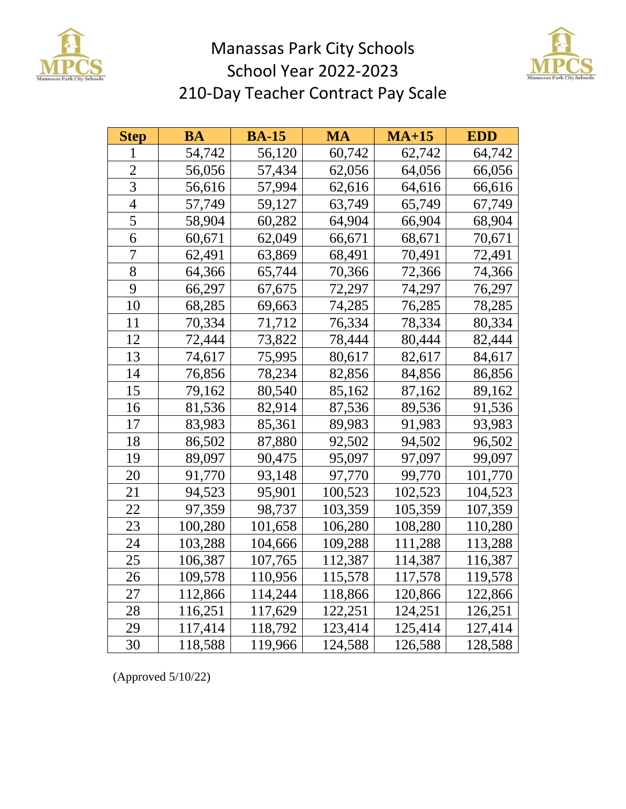

## Manassas Park City Schools School Year 2022-2023 210-Day Teacher Contract Pay Scale



| <b>Step</b> | BA      | <b>BA-15</b> | MA      | $MA+15$ | <b>EDD</b> |
|-------------|---------|--------------|---------|---------|------------|
| 1           | 54,742  | 56,120       | 60,742  | 62,742  | 64,742     |
| 2           | 56,056  | 57,434       | 62,056  | 64,056  | 66,056     |
| 3           | 56,616  | 57,994       | 62,616  | 64,616  | 66,616     |
| 4           | 57,749  | 59,127       | 63,749  | 65,749  | 67,749     |
| 5           | 58,904  | 60,282       | 64,904  | 66,904  | 68,904     |
| 6           | 60,671  | 62,049       | 66,671  | 68,671  | 70,671     |
| 7           | 62,491  | 63,869       | 68,491  | 70,491  | 72,491     |
| 8           | 64,366  | 65,744       | 70,366  | 72,366  | 74,366     |
| 9           | 66,297  | 67,675       | 72,297  | 74,297  | 76,297     |
| 10          | 68,285  | 69,663       | 74,285  | 76,285  | 78,285     |
| 11          | 70,334  | 71,712       | 76,334  | 78,334  | 80,334     |
| 12          | 72,444  | 73,822       | 78,444  | 80,444  | 82,444     |
| 13          | 74,617  | 75,995       | 80,617  | 82,617  | 84,617     |
| 14          | 76,856  | 78,234       | 82,856  | 84,856  | 86,856     |
| 15          | 79,162  | 80,540       | 85,162  | 87,162  | 89,162     |
| 16          | 81,536  | 82,914       | 87,536  | 89,536  | 91,536     |
| 17          | 83,983  | 85,361       | 89,983  | 91,983  | 93,983     |
| 18          | 86,502  | 87,880       | 92,502  | 94,502  | 96,502     |
| 19          | 89,097  | 90,475       | 95,097  | 97,097  | 99,097     |
| 20          | 91,770  | 93,148       | 97,770  | 99,770  | 101,770    |
| 21          | 94,523  | 95,901       | 100,523 | 102,523 | 104,523    |
| 22          | 97,359  | 98,737       | 103,359 | 105,359 | 107,359    |
| 23          | 100,280 | 101,658      | 106,280 | 108,280 | 110,280    |
| 24          | 103,288 | 104,666      | 109,288 | 111,288 | 113,288    |
| 25          | 106,387 | 107,765      | 112,387 | 114,387 | 116,387    |
| 26          | 109,578 | 110,956      | 115,578 | 117,578 | 119,578    |
| 27          | 112,866 | 114,244      | 118,866 | 120,866 | 122,866    |
| 28          | 116,251 | 117,629      | 122,251 | 124,251 | 126,251    |
| 29          | 117,414 | 118,792      | 123,414 | 125,414 | 127,414    |
| 30          | 118,588 | 119,966      | 124,588 | 126,588 | 128,588    |

(Approved 5/10/22)